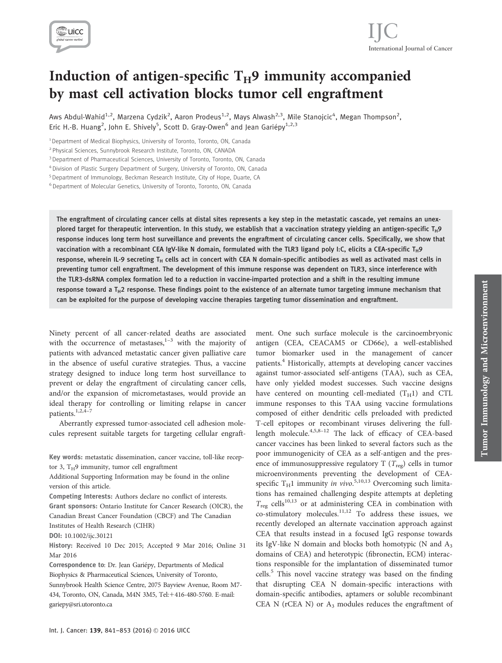

# International Journal of Cancer IJC

# Induction of antigen-specific  $T_H$ 9 immunity accompanied by mast cell activation blocks tumor cell engraftment

Aws Abdul-Wahid<sup>1,2</sup>, Marzena Cydzik<sup>2</sup>, Aaron Prodeus<sup>1,2</sup>, Mays Alwash<sup>2,3</sup>, Mile Stanojcic<sup>4</sup>, Megan Thompson<sup>2</sup>, Eric H.-B. Huang<sup>2</sup>, John E. Shively<sup>5</sup>, Scott D. Gray-Owen<sup>6</sup> and Jean Gariépy<sup>1,2,3</sup>

<sup>1</sup> Department of Medical Biophysics, University of Toronto, Toronto, ON, Canada

<sup>4</sup> Division of Plastic Surgery Department of Surgery, University of Toronto, ON, Canada

<sup>5</sup> Department of Immunology, Beckman Research Institute, City of Hope, Duarte, CA

<sup>6</sup> Department of Molecular Genetics, University of Toronto, Toronto, ON, Canada

The engraftment of circulating cancer cells at distal sites represents a key step in the metastatic cascade, yet remains an unexplored target for therapeutic intervention. In this study, we establish that a vaccination strategy yielding an antigen-specific T<sub>H</sub>9 response induces long term host surveillance and prevents the engraftment of circulating cancer cells. Specifically, we show that vaccination with a recombinant CEA IgV-like N domain, formulated with the TLR3 ligand poly I:C, elicits a CEA-specific T<sub>H</sub>9 response, wherein IL-9 secreting T<sub>H</sub> cells act in concert with CEA N domain-specific antibodies as well as activated mast cells in preventing tumor cell engraftment. The development of this immune response was dependent on TLR3, since interference with the TLR3-dsRNA complex formation led to a reduction in vaccine-imparted protection and a shift in the resulting immune response toward a  $T_H2$  response. These findings point to the existence of an alternate tumor targeting immune mechanism that can be exploited for the purpose of developing vaccine therapies targeting tumor dissemination and engraftment.

Ninety percent of all cancer-related deaths are associated with the occurrence of metastases, $1-3$  with the majority of patients with advanced metastatic cancer given palliative care in the absence of useful curative strategies. Thus, a vaccine strategy designed to induce long term host surveillance to prevent or delay the engraftment of circulating cancer cells, and/or the expansion of micrometastases, would provide an ideal therapy for controlling or limiting relapse in cancer patients.<sup>1,2,4-7</sup>

Aberrantly expressed tumor-associated cell adhesion molecules represent suitable targets for targeting cellular engraft-

Key words: metastatic dissemination, cancer vaccine, toll-like receptor 3,  $T_H$ 9 immunity, tumor cell engraftment

Additional Supporting Information may be found in the online version of this article.

Competing Interests: Authors declare no conflict of interests.

Grant sponsors: Ontario Institute for Cancer Research (OICR), the Canadian Breast Cancer Foundation (CBCF) and The Canadian Institutes of Health Research (CIHR)

DOI: 10.1002/ijc.30121

History: Received 10 Dec 2015; Accepted 9 Mar 2016; Online 31 Mar 2016

Correspondence to: Dr. Jean Gariépy, Departments of Medical Biophysics & Pharmaceutical Sciences, University of Toronto, Sunnybrook Health Science Centre, 2075 Bayview Avenue, Room M7- 434, Toronto, ON, Canada, M4N 3M5, Tel:+416-480-5760. E-mail: gariepy@sri.utoronto.ca

ment. One such surface molecule is the carcinoembryonic antigen (CEA, CEACAM5 or CD66e), a well-established tumor biomarker used in the management of cancer patients.<sup>4</sup> Historically, attempts at developing cancer vaccines against tumor-associated self-antigens (TAA), such as CEA, have only yielded modest successes. Such vaccine designs have centered on mounting cell-mediated  $(T_H1)$  and CTL immune responses to this TAA using vaccine formulations composed of either dendritic cells preloaded with predicted T-cell epitopes or recombinant viruses delivering the fulllength molecule. $4,5,8-12$  The lack of efficacy of CEA-based cancer vaccines has been linked to several factors such as the poor immunogenicity of CEA as a self-antigen and the presence of immunosuppressive regulatory T  $(T_{\text{reg}})$  cells in tumor microenvironments preventing the development of CEAspecific  $T_H1$  immunity in vivo.<sup>5,10,13</sup> Overcoming such limitations has remained challenging despite attempts at depleting  $T_{\text{reg}}$  cells<sup>10,13</sup> or at administering CEA in combination with co-stimulatory molecules.11,12 To address these issues, we recently developed an alternate vaccination approach against CEA that results instead in a focused IgG response towards its IgV-like N domain and blocks both homotypic (N and  $A_3$ ) domains of CEA) and heterotypic (fibronectin, ECM) interactions responsible for the implantation of disseminated tumor cells.<sup>5</sup> This novel vaccine strategy was based on the finding that disrupting CEA N domain-specific interactions with domain-specific antibodies, aptamers or soluble recombinant CEA N ( $rCEA$  N) or  $A_3$  modules reduces the engraftment of

<sup>2</sup> Physical Sciences, Sunnybrook Research Institute, Toronto, ON, CANADA

<sup>&</sup>lt;sup>3</sup> Department of Pharmaceutical Sciences, University of Toronto, Toronto, ON, Canada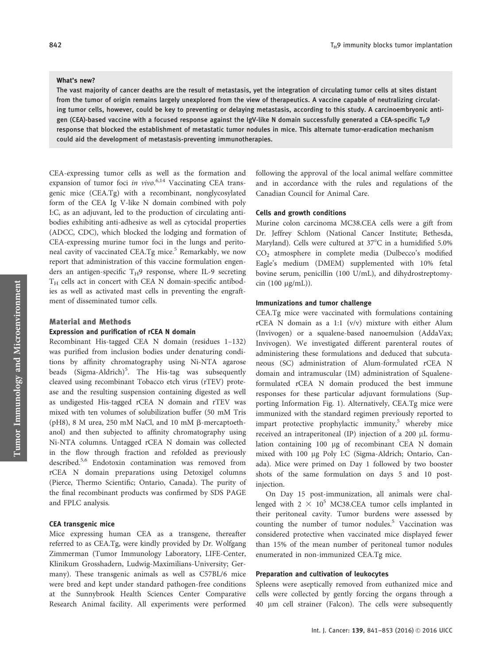#### What's new?

The vast majority of cancer deaths are the result of metastasis, yet the integration of circulating tumor cells at sites distant from the tumor of origin remains largely unexplored from the view of therapeutics. A vaccine capable of neutralizing circulating tumor cells, however, could be key to preventing or delaying metastasis, according to this study. A carcinoembryonic antigen (CEA)-based vaccine with a focused response against the IgV-like N domain successfully generated a CEA-specific T<sub>H</sub>9 response that blocked the establishment of metastatic tumor nodules in mice. This alternate tumor-eradication mechanism could aid the development of metastasis-preventing immunotherapies.

CEA-expressing tumor cells as well as the formation and expansion of tumor foci in vivo.<sup>6,14</sup> Vaccinating CEA transgenic mice (CEA.Tg) with a recombinant, nonglycosylated form of the CEA Ig V-like N domain combined with poly I:C, as an adjuvant, led to the production of circulating antibodies exhibiting anti-adhesive as well as cytocidal properties (ADCC, CDC), which blocked the lodging and formation of CEA-expressing murine tumor foci in the lungs and peritoneal cavity of vaccinated CEA.Tg mice.<sup>5</sup> Remarkably, we now report that administration of this vaccine formulation engenders an antigen-specific  $T_H$ 9 response, where IL-9 secreting  $T_H$  cells act in concert with CEA N domain-specific antibodies as well as activated mast cells in preventing the engraftment of disseminated tumor cells.

# Material and Methods Expression and purification of rCEA N domain

Recombinant His-tagged CEA N domain (residues 1–132) was purified from inclusion bodies under denaturing conditions by affinity chromatography using Ni-NTA agarose beads (Sigma-Aldrich)<sup>5</sup>. The His-tag was subsequently cleaved using recombinant Tobacco etch virus (rTEV) protease and the resulting suspension containing digested as well as undigested His-tagged rCEA N domain and rTEV was mixed with ten volumes of solubilization buffer (50 mM Tris (pH8), 8 M urea, 250 mM NaCl, and 10 mM  $\beta$ -mercaptoethanol) and then subjected to affinity chromatography using Ni-NTA columns. Untagged rCEA N domain was collected in the flow through fraction and refolded as previously described.5,6 Endotoxin contamination was removed from rCEA N domain preparations using Detoxigel columns (Pierce, Thermo Scientific; Ontario, Canada). The purity of the final recombinant products was confirmed by SDS PAGE and FPLC analysis.

## CEA transgenic mice

Mice expressing human CEA as a transgene, thereafter referred to as CEA.Tg, were kindly provided by Dr. Wolfgang Zimmerman (Tumor Immunology Laboratory, LIFE-Center, Klinikum Grosshadern, Ludwig-Maximilians-University; Germany). These transgenic animals as well as C57BL/6 mice were bred and kept under standard pathogen-free conditions at the Sunnybrook Health Sciences Center Comparative Research Animal facility. All experiments were performed following the approval of the local animal welfare committee and in accordance with the rules and regulations of the Canadian Council for Animal Care.

## Cells and growth conditions

Murine colon carcinoma MC38.CEA cells were a gift from Dr. Jeffrey Schlom (National Cancer Institute; Bethesda, Maryland). Cells were cultured at  $37^{\circ}$ C in a humidified 5.0% CO2 atmosphere in complete media (Dulbecco's modified Eagle's medium (DMEM) supplemented with 10% fetal bovine serum, penicillin (100 U/mL), and dihydrostreptomycin  $(100 \mu g/mL)$ ).

## Immunizations and tumor challenge

CEA.Tg mice were vaccinated with formulations containing rCEA N domain as a 1:1 (v/v) mixture with either Alum (Invivogen) or a squalene-based nanoemulsion (AddaVax; Invivogen). We investigated different parenteral routes of administering these formulations and deduced that subcutaneous (SC) administration of Alum-formulated rCEA N domain and intramuscular (IM) administration of Squaleneformulated rCEA N domain produced the best immune responses for these particular adjuvant formulations (Supporting Information Fig. 1). Alternatively, CEA.Tg mice were immunized with the standard regimen previously reported to impart protective prophylactic immunity, $5$  whereby mice received an intraperitoneal (IP) injection of a 200  $\mu$ L formulation containing 100 µg of recombinant CEA N domain mixed with 100 µg Poly I:C (Sigma-Aldrich; Ontario, Canada). Mice were primed on Day 1 followed by two booster shots of the same formulation on days 5 and 10 postinjection.

On Day 15 post-immunization, all animals were challenged with  $2 \times 10^5$  MC38.CEA tumor cells implanted in their peritoneal cavity. Tumor burdens were assessed by counting the number of tumor nodules. $5$  Vaccination was considered protective when vaccinated mice displayed fewer than 15% of the mean number of peritoneal tumor nodules enumerated in non-immunized CEA.Tg mice.

## Preparation and cultivation of leukocytes

Spleens were aseptically removed from euthanized mice and cells were collected by gently forcing the organs through a 40 lm cell strainer (Falcon). The cells were subsequently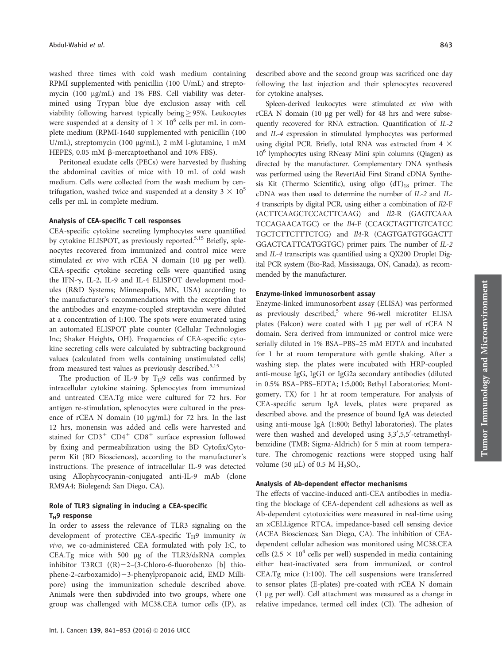washed three times with cold wash medium containing RPMI supplemented with penicillin (100 U/mL) and streptomycin (100 µg/mL) and 1% FBS. Cell viability was determined using Trypan blue dye exclusion assay with cell viability following harvest typically being  $\geq$  95%. Leukocytes were suspended at a density of  $1 \times 10^6$  cells per mL in complete medium (RPMI-1640 supplemented with penicillin (100 U/mL), streptomycin (100 µg/mL), 2 mM l-glutamine, 1 mM HEPES, 0.05 mM  $\beta$ -mercaptoethanol and 10% FBS).

Peritoneal exudate cells (PECs) were harvested by flushing the abdominal cavities of mice with 10 mL of cold wash medium. Cells were collected from the wash medium by centrifugation, washed twice and suspended at a density  $3 \times 10^5$ cells per mL in complete medium.

# Analysis of CEA-specific T cell responses

CEA-specific cytokine secreting lymphocytes were quantified by cytokine ELISPOT, as previously reported.<sup>5,15</sup> Briefly, splenocytes recovered from immunized and control mice were stimulated  $ex$  vivo with rCEA N domain (10  $\mu$ g per well). CEA-specific cytokine secreting cells were quantified using the IFN-g, IL-2, IL-9 and IL-4 ELISPOT development modules (R&D Systems; Minneapolis, MN, USA) according to the manufacturer's recommendations with the exception that the antibodies and enzyme-coupled streptavidin were diluted at a concentration of 1:100. The spots were enumerated using an automated ELISPOT plate counter (Cellular Technologies Inc; Shaker Heights, OH). Frequencies of CEA-specific cytokine secreting cells were calculated by subtracting background values (calculated from wells containing unstimulated cells) from measured test values as previously described.<sup>5,15</sup>

The production of IL-9 by  $T_H$ 9 cells was confirmed by intracellular cytokine staining. Splenocytes from immunized and untreated CEA.Tg mice were cultured for 72 hrs. For antigen re-stimulation, splenocytes were cultured in the presence of rCEA N domain (10 mg/mL) for 72 hrs. In the last 12 hrs, monensin was added and cells were harvested and stained for  $CD3^+$   $CD4^+$   $CD8^+$  surface expression followed by fixing and permeabilization using the BD Cytofix/Cytoperm Kit (BD Biosciences), according to the manufacturer's instructions. The presence of intracellular IL-9 was detected using Allophycocyanin-conjugated anti-IL-9 mAb (clone RM9A4; Biolegend; San Diego, CA).

# Role of TLR3 signaling in inducing a CEA-specific  $T_H$ 9 response

In order to assess the relevance of TLR3 signaling on the development of protective CEA-specific  $T_H$ 9 immunity in vivo, we co-administered CEA formulated with poly I:C, to CEA.Tg mice with 500 µg of the TLR3/dsRNA complex inhibitor T3RCI  $((R)-2-(3-Chloro-6-fluorobenzo [b] thio$ phene-2-carboxamido)-3-phenylpropanoic acid, EMD Millipore) using the immunization schedule described above. Animals were then subdivided into two groups, where one group was challenged with MC38.CEA tumor cells (IP), as

Spleen-derived leukocytes were stimulated ex vivo with rCEA N domain (10 µg per well) for 48 hrs and were subsequently recovered for RNA extraction. Quantification of IL-2 and IL-4 expression in stimulated lymphocytes was performed using digital PCR. Briefly, total RNA was extracted from  $4 \times$ 106 lymphocytes using RNeasy Mini spin columns (Qiagen) as directed by the manufacturer. Complementary DNA synthesis was performed using the RevertAid First Strand cDNA Synthesis Kit (Thermo Scientific), using oligo  $(dT)_{18}$  primer. The cDNA was then used to determine the number of IL-2 and IL-4 transcripts by digital PCR, using either a combination of Il2-F (ACTTCAAGCTCCACTTCAAG) and Il2-R (GAGTCAAA TCCAGAACATGC) or the Il4-F (CCAGCTAGTTGTCATCC TGCTCTTCTTTCTCG) and Il4-R (CAGTGATGTGGACTT GGACTCATTCATGGTGC) primer pairs. The number of IL-2 and IL-4 transcripts was quantified using a QX200 Droplet Digital PCR system (Bio-Rad, Mississauga, ON, Canada), as recommended by the manufacturer.

## Enzyme-linked immunosorbent assay

Enzyme-linked immunosorbent assay (ELISA) was performed as previously described,<sup>5</sup> where 96-well microtiter ELISA plates (Falcon) were coated with 1 µg per well of rCEA N domain. Sera derived from immunized or control mice were serially diluted in 1% BSA–PBS–25 mM EDTA and incubated for 1 hr at room temperature with gentle shaking. After a washing step, the plates were incubated with HRP-coupled anti-mouse IgG, IgG1 or IgG2a secondary antibodies (diluted in 0.5% BSA–PBS–EDTA; 1:5,000; Bethyl Laboratories; Montgomery, TX) for 1 hr at room temperature. For analysis of CEA-specific serum IgA levels, plates were prepared as described above, and the presence of bound IgA was detected using anti-mouse IgA (1:800; Bethyl laboratories). The plates were then washed and developed using 3,3',5,5'-tetramethylbenzidine (TMB; Sigma-Aldrich) for 5 min at room temperature. The chromogenic reactions were stopped using half volume (50  $\mu$ L) of 0.5 M H<sub>2</sub>SO<sub>4</sub>.

## Analysis of Ab-dependent effector mechanisms

The effects of vaccine-induced anti-CEA antibodies in mediating the blockage of CEA-dependent cell adhesions as well as Ab-dependent cytotoxicities were measured in real-time using an xCELLigence RTCA, impedance-based cell sensing device (ACEA Biosciences; San Diego, CA). The inhibition of CEAdependent cellular adhesion was monitored using MC38.CEA cells (2.5  $\times$  10<sup>4</sup> cells per well) suspended in media containing either heat-inactivated sera from immunized, or control CEA.Tg mice (1:100). The cell suspensions were transferred to sensor plates (E-plates) pre-coated with rCEA N domain (1 mg per well). Cell attachment was measured as a change in relative impedance, termed cell index (CI). The adhesion of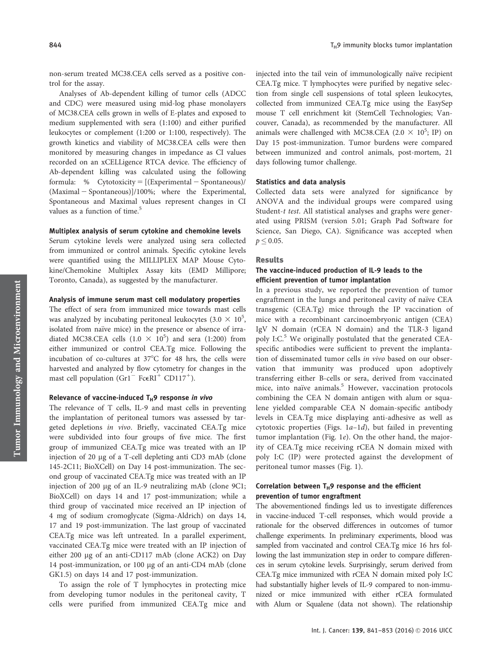non-serum treated MC38.CEA cells served as a positive control for the assay.

Analyses of Ab-dependent killing of tumor cells (ADCC and CDC) were measured using mid-log phase monolayers of MC38.CEA cells grown in wells of E-plates and exposed to medium supplemented with sera (1:100) and either purified leukocytes or complement (1:200 or 1:100, respectively). The growth kinetics and viability of MC38.CEA cells were then monitored by measuring changes in impedance as CI values recorded on an xCELLigence RTCA device. The efficiency of Ab-dependent killing was calculated using the following formula: % Cytotoxicity =  $[(Experimental - Spontaneous)]$  $(Maximal - Spontaneous)]/100\%$ ; where the Experimental, Spontaneous and Maximal values represent changes in CI values as a function of time.<sup>5</sup>

## Multiplex analysis of serum cytokine and chemokine levels

Serum cytokine levels were analyzed using sera collected from immunized or control animals. Specific cytokine levels were quantified using the MILLIPLEX MAP Mouse Cytokine/Chemokine Multiplex Assay kits (EMD Millipore; Toronto, Canada), as suggested by the manufacturer.

#### Analysis of immune serum mast cell modulatory properties

The effect of sera from immunized mice towards mast cells was analyzed by incubating peritoneal leukocytes (3.0  $\times$  10<sup>5</sup>, isolated from naïve mice) in the presence or absence of irradiated MC38.CEA cells  $(1.0 \times 10^5)$  and sera (1:200) from either immunized or control CEA.Tg mice. Following the incubation of co-cultures at  $37^{\circ}$ C for 48 hrs, the cells were harvested and analyzed by flow cytometry for changes in the mast cell population (Gr1<sup>-</sup> FceRI<sup>+</sup> CD117<sup>+</sup>).

## Relevance of vaccine-induced  $T_H9$  response in vivo

The relevance of T cells, IL-9 and mast cells in preventing the implantation of peritoneal tumors was assessed by targeted depletions in vivo. Briefly, vaccinated CEA.Tg mice were subdivided into four groups of five mice. The first group of immunized CEA.Tg mice was treated with an IP injection of 20 mg of a T-cell depleting anti CD3 mAb (clone 145-2C11; BioXCell) on Day 14 post-immunization. The second group of vaccinated CEA.Tg mice was treated with an IP injection of 200 µg of an IL-9 neutralizing mAb (clone 9C1; BioXCell) on days 14 and 17 post-immunization; while a third group of vaccinated mice received an IP injection of 4 mg of sodium cromoglycate (Sigma-Aldrich) on days 14, 17 and 19 post-immunization. The last group of vaccinated CEA.Tg mice was left untreated. In a parallel experiment, vaccinated CEA.Tg mice were treated with an IP injection of either 200 µg of an anti-CD117 mAb (clone ACK2) on Day 14 post-immunization, or 100 µg of an anti-CD4 mAb (clone GK1.5) on days 14 and 17 post-immunization.

To assign the role of T lymphocytes in protecting mice from developing tumor nodules in the peritoneal cavity, T cells were purified from immunized CEA.Tg mice and injected into the tail vein of immunologically naïve recipient CEA.Tg mice. T lymphocytes were purified by negative selection from single cell suspensions of total spleen leukocytes, collected from immunized CEA.Tg mice using the EasySep mouse T cell enrichment kit (StemCell Technologies; Vancouver, Canada), as recommended by the manufacturer. All animals were challenged with MC38.CEA (2.0  $\times$  10<sup>5</sup>; IP) on Day 15 post-immunization. Tumor burdens were compared between immunized and control animals, post-mortem, 21 days following tumor challenge.

## Statistics and data analysis

Collected data sets were analyzed for significance by ANOVA and the individual groups were compared using Student-t test. All statistical analyses and graphs were generated using PRISM (version 5.01; Graph Pad Software for Science, San Diego, CA). Significance was accepted when  $p \leq 0.05$ .

#### Results

# The vaccine-induced production of IL-9 leads to the efficient prevention of tumor implantation

In a previous study, we reported the prevention of tumor engraftment in the lungs and peritoneal cavity of naïve CEA transgenic (CEA.Tg) mice through the IP vaccination of mice with a recombinant carcinoembryonic antigen (CEA) IgV N domain (rCEA N domain) and the TLR-3 ligand poly I:C. $5$  We originally postulated that the generated CEAspecific antibodies were sufficient to prevent the implantation of disseminated tumor cells in vivo based on our observation that immunity was produced upon adoptively transferring either B-cells or sera, derived from vaccinated mice, into naïve animals.<sup>5</sup> However, vaccination protocols combining the CEA N domain antigen with alum or squalene yielded comparable CEA N domain-specific antibody levels in CEA.Tg mice displaying anti-adhesive as well as cytotoxic properties (Figs. 1a–1d), but failed in preventing tumor implantation (Fig. 1e). On the other hand, the majority of CEA.Tg mice receiving rCEA N domain mixed with poly I:C (IP) were protected against the development of peritoneal tumor masses (Fig. 1).

# Correlation between  $T_H$ 9 response and the efficient prevention of tumor engraftment

The abovementioned findings led us to investigate differences in vaccine-induced T-cell responses, which would provide a rationale for the observed differences in outcomes of tumor challenge experiments. In preliminary experiments, blood was sampled from vaccinated and control CEA.Tg mice 16 hrs following the last immunization step in order to compare differences in serum cytokine levels. Surprisingly, serum derived from CEA.Tg mice immunized with rCEA N domain mixed poly I:C had substantially higher levels of IL-9 compared to non-immunized or mice immunized with either rCEA formulated with Alum or Squalene (data not shown). The relationship

Tumor Immunology and Microenvironment

Tumor Immunology and Microenvironment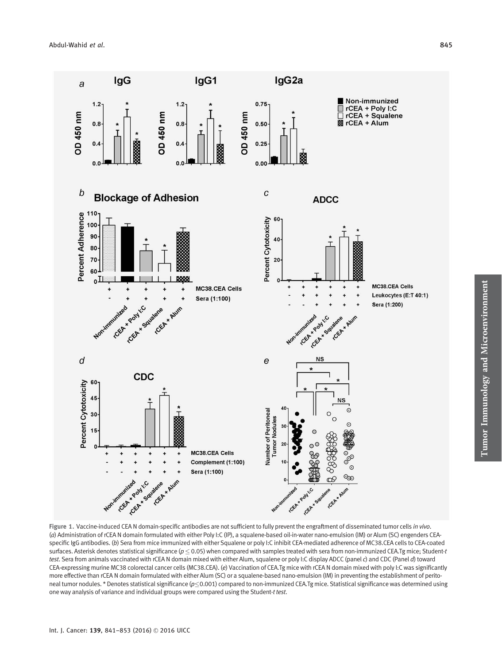

Figure 1. Vaccine-induced CEA N domain-specific antibodies are not sufficient to fully prevent the engraftment of disseminated tumor cells in vivo. (a) Administration of rCEA N domain formulated with either Poly I:C (IP), a squalene-based oil-in-water nano-emulsion (IM) or Alum (SC) engenders CEAspecific IgG antibodies. (b) Sera from mice immunized with either Squalene or poly I:C inhibit CEA-mediated adherence of MC38.CEA cells to CEA-coated surfaces. Asterisk denotes statistical significance ( $p \le 0.05$ ) when compared with samples treated with sera from non-immunized CEA.Tg mice; Student-t test. Sera from animals vaccinated with rCEA N domain mixed with either Alum, squalene or poly I:C display ADCC (panel c) and CDC (Panel d) toward CEA-expressing murine MC38 colorectal cancer cells (MC38.CEA). (e) Vaccination of CEA.Tg mice with rCEA N domain mixed with poly I:C was significantly more effective than rCEA N domain formulated with either Alum (SC) or a squalene-based nano-emulsion (IM) in preventing the establishment of peritoneal tumor nodules. \* Denotes statistical significance ( $p \le 0.001$ ) compared to non-immunized CEA.Tg mice. Statistical significance was determined using one way analysis of variance and individual groups were compared using the Student-t test.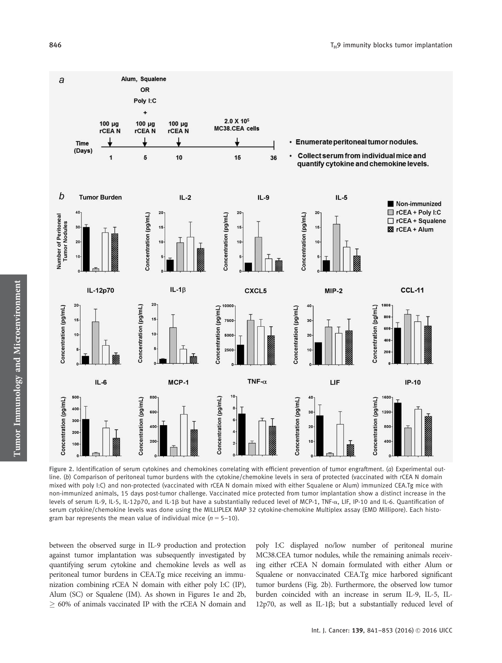

Figure 2. Identification of serum cytokines and chemokines correlating with efficient prevention of tumor engraftment. (a) Experimental outline. (b) Comparison of peritoneal tumor burdens with the cytokine/chemokine levels in sera of protected (vaccinated with rCEA N domain mixed with poly I:C) and non-protected (vaccinated with rCEA N domain mixed with either Squalene or Alum) immunized CEA.Tg mice with non-immunized animals, 15 days post-tumor challenge. Vaccinated mice protected from tumor implantation show a distinct increase in the levels of serum IL-9, IL-5, IL-12p70, and IL-1ß but have a substantially reduced level of MCP-1, TNF- $\alpha$ , LIF, IP-10 and IL-6. Quantification of serum cytokine/chemokine levels was done using the MILLIPLEX MAP 32 cytokine-chemokine Multiplex assay (EMD Millipore). Each histogram bar represents the mean value of individual mice  $(n = 5-10)$ .

between the observed surge in IL-9 production and protection against tumor implantation was subsequently investigated by quantifying serum cytokine and chemokine levels as well as peritoneal tumor burdens in CEA.Tg mice receiving an immunization combining rCEA N domain with either poly I:C (IP), Alum (SC) or Squalene (IM). As shown in Figures 1e and 2b,  $\geq$  60% of animals vaccinated IP with the rCEA N domain and

poly I:C displayed no/low number of peritoneal murine MC38.CEA tumor nodules, while the remaining animals receiving either rCEA N domain formulated with either Alum or Squalene or nonvaccinated CEA.Tg mice harbored significant tumor burdens (Fig. 2b). Furthermore, the observed low tumor burden coincided with an increase in serum IL-9, IL-5, IL- $12p70$ , as well as IL-1 $\beta$ ; but a substantially reduced level of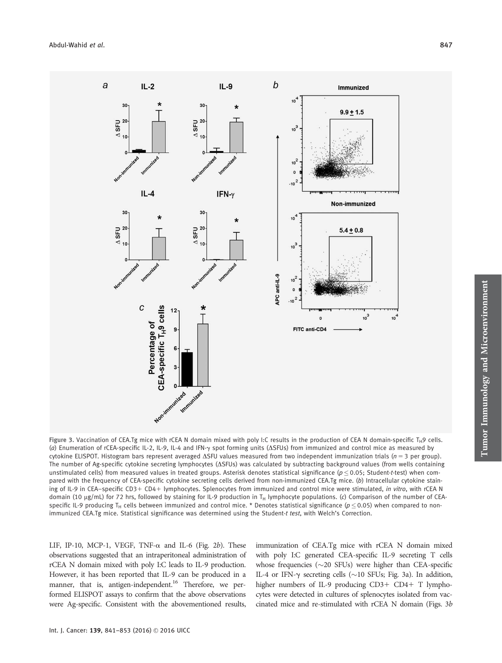

Figure 3. Vaccination of CEA.Tg mice with rCEA N domain mixed with poly I:C results in the production of CEA N domain-specific T<sub>H</sub>9 cells. (a) Enumeration of rCEA-specific IL-2, IL-9, IL-4 and IFN-g spot forming units (DSFUs) from immunized and control mice as measured by cytokine ELISPOT. Histogram bars represent averaged  $\Delta$ SFU values measured from two independent immunization trials (n = 3 per group). The number of Ag-specific cytokine secreting lymphocytes (ASFUs) was calculated by subtracting background values (from wells containing unstimulated cells) from measured values in treated groups. Asterisk denotes statistical significance ( $p \le 0.05$ ; Student-t-test) when compared with the frequency of CEA-specific cytokine secreting cells derived from non-immunized CEA.Tg mice. (b) Intracellular cytokine staining of IL-9 in CEA–specific CD3+ CD4+ lymphocytes. Splenocytes from immunized and control mice were stimulated, in vitro, with rCEA N domain (10  $\mu$ g/mL) for 72 hrs, followed by staining for IL-9 production in T<sub>H</sub> lymphocyte populations. (c) Comparison of the number of CEAspecific IL-9 producing T<sub>H</sub> cells between immunized and control mice. \* Denotes statistical significance ( $p < 0.05$ ) when compared to nonimmunized CEA.Tg mice. Statistical significance was determined using the Student-t test, with Welch's Correction.

LIF, IP-10, MCP-1, VEGF, TNF- $\alpha$  and IL-6 (Fig. 2b). These observations suggested that an intraperitoneal administration of rCEA N domain mixed with poly I:C leads to IL-9 production. However, it has been reported that IL-9 can be produced in a manner, that is, antigen-independent.<sup>16</sup> Therefore, we performed ELISPOT assays to confirm that the above observations were Ag-specific. Consistent with the abovementioned results, immunization of CEA.Tg mice with rCEA N domain mixed with poly I:C generated CEA-specific IL-9 secreting T cells whose frequencies  $(\sim 20 \text{ SFUs})$  were higher than CEA-specific IL-4 or IFN- $\gamma$  secreting cells ( $\sim$ 10 SFUs; Fig. 3a). In addition, higher numbers of IL-9 producing  $CD3+CD4+T$  lymphocytes were detected in cultures of splenocytes isolated from vaccinated mice and re-stimulated with rCEA N domain (Figs. 3b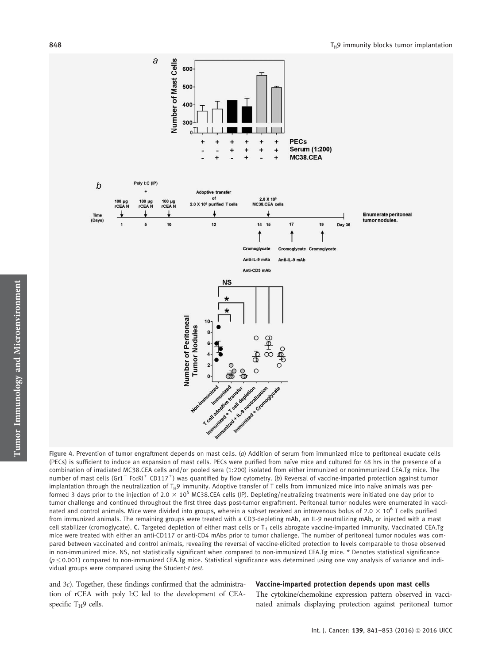

Figure 4. Prevention of tumor engraftment depends on mast cells. (a) Addition of serum from immunized mice to peritoneal exudate cells (PECs) is sufficient to induce an expansion of mast cells. PECs were purified from naïve mice and cultured for 48 hrs in the presence of a combination of irradiated MC38.CEA cells and/or pooled sera (1:200) isolated from either immunized or nonimmunized CEA.Tg mice. The number of mast cells (Gr1<sup>-</sup> FceRI<sup>+</sup> CD117<sup>+</sup>) was quantified by flow cytometry. (b) Reversal of vaccine-imparted protection against tumor implantation through the neutralization of T<sub>H</sub>9 immunity. Adoptive transfer of T cells from immunized mice into naïve animals was performed 3 days prior to the injection of 2.0  $\times$  10<sup>5</sup> MC38.CEA cells (IP). Depleting/neutralizing treatments were initiated one day prior to tumor challenge and continued throughout the first three days post-tumor engraftment. Peritoneal tumor nodules were enumerated in vaccinated and control animals. Mice were divided into groups, wherein a subset received an intravenous bolus of  $2.0 \times 10^6$  T cells purified from immunized animals. The remaining groups were treated with a CD3-depleting mAb, an IL-9 neutralizing mAb, or injected with a mast cell stabilizer (cromoglycate). C. Targeted depletion of either mast cells or  $T_H$  cells abrogate vaccine-imparted immunity. Vaccinated CEA.Tg mice were treated with either an anti-CD117 or anti-CD4 mAbs prior to tumor challenge. The number of peritoneal tumor nodules was compared between vaccinated and control animals, revealing the reversal of vaccine-elicited protection to levels comparable to those observed in non-immunized mice. NS, not statistically significant when compared to non-immunized CEA.Tg mice. \* Denotes statistical significance  $(p \le 0.001)$  compared to non-immunized CEA.Tg mice. Statistical significance was determined using one way analysis of variance and individual groups were compared using the Student-t test.

and 3c). Together, these findings confirmed that the administration of rCEA with poly I:C led to the development of CEAspecific  $T_H$ 9 cells.

#### Vaccine-imparted protection depends upon mast cells

The cytokine/chemokine expression pattern observed in vaccinated animals displaying protection against peritoneal tumor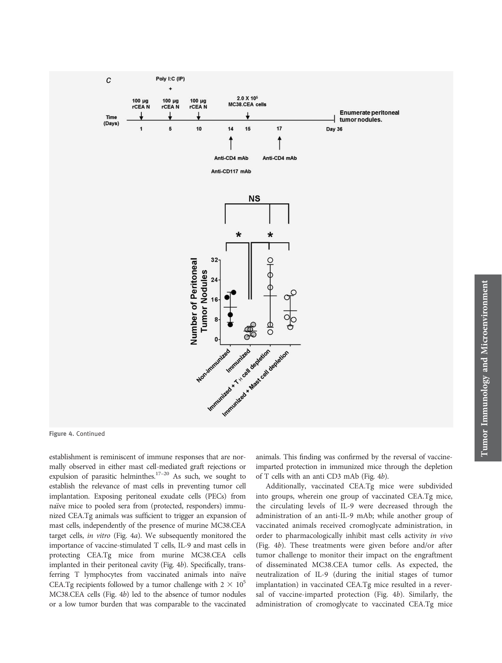

Figure 4. Continued

establishment is reminiscent of immune responses that are normally observed in either mast cell-mediated graft rejections or expulsion of parasitic helminthes.<sup>17–20</sup> As such, we sought to establish the relevance of mast cells in preventing tumor cell implantation. Exposing peritoneal exudate cells (PECs) from naïve mice to pooled sera from (protected, responders) immunized CEA.Tg animals was sufficient to trigger an expansion of mast cells, independently of the presence of murine MC38.CEA target cells, in vitro (Fig. 4a). We subsequently monitored the importance of vaccine-stimulated T cells, IL-9 and mast cells in protecting CEA.Tg mice from murine MC38.CEA cells implanted in their peritoneal cavity (Fig. 4b). Specifically, transferring T lymphocytes from vaccinated animals into naïve CEA.Tg recipients followed by a tumor challenge with  $2 \times 10^5$ MC38.CEA cells (Fig. 4b) led to the absence of tumor nodules or a low tumor burden that was comparable to the vaccinated

animals. This finding was confirmed by the reversal of vaccineimparted protection in immunized mice through the depletion of T cells with an anti CD3 mAb (Fig. 4b).

Additionally, vaccinated CEA.Tg mice were subdivided into groups, wherein one group of vaccinated CEA.Tg mice, the circulating levels of IL-9 were decreased through the administration of an anti-IL-9 mAb; while another group of vaccinated animals received cromoglycate administration, in order to pharmacologically inhibit mast cells activity in vivo (Fig. 4b). These treatments were given before and/or after tumor challenge to monitor their impact on the engraftment of disseminated MC38.CEA tumor cells. As expected, the neutralization of IL-9 (during the initial stages of tumor implantation) in vaccinated CEA.Tg mice resulted in a reversal of vaccine-imparted protection (Fig. 4b). Similarly, the administration of cromoglycate to vaccinated CEA.Tg mice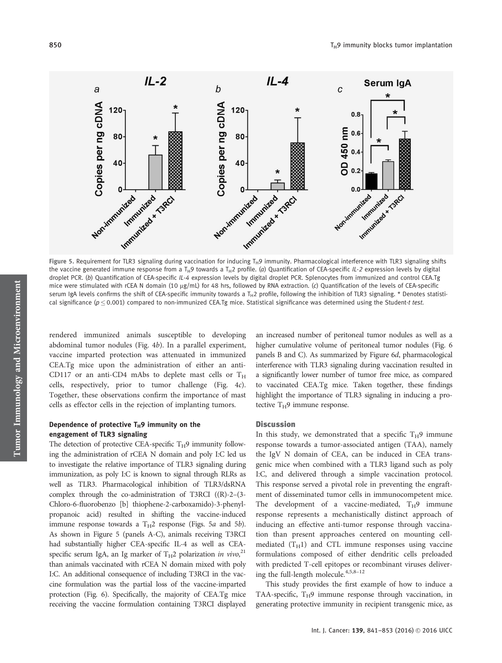

Figure 5. Requirement for TLR3 signaling during vaccination for inducing T<sub>H</sub>9 immunity. Pharmacological interference with TLR3 signaling shifts the vaccine generated immune response from a T<sub>H</sub>9 towards a T<sub>H</sub>2 profile. (a) Quantification of CEA-specific IL-2 expression levels by digital droplet PCR. (b) Quantification of CEA-specific IL-4 expression levels by digital droplet PCR. Splenocytes from immunized and control CEA.Tg mice were stimulated with rCEA N domain (10  $\mu$ g/mL) for 48 hrs, followed by RNA extraction. (c) Quantification of the levels of CEA-specific serum IgA levels confirms the shift of CEA-specific immunity towards a T<sub>H</sub>2 profile, following the inhibition of TLR3 signaling. \* Denotes statistical significance ( $p \le 0.001$ ) compared to non-immunized CEA.Tg mice. Statistical significance was determined using the Student-t test.

rendered immunized animals susceptible to developing abdominal tumor nodules (Fig. 4b). In a parallel experiment, vaccine imparted protection was attenuated in immunized CEA.Tg mice upon the administration of either an anti-CD117 or an anti-CD4 mAbs to deplete mast cells or  $T_H$ cells, respectively, prior to tumor challenge (Fig. 4c). Together, these observations confirm the importance of mast cells as effector cells in the rejection of implanting tumors.

# Dependence of protective  $T_H$ 9 immunity on the engagement of TLR3 signaling

The detection of protective CEA-specific  $T_H$ 9 immunity following the administration of rCEA N domain and poly I:C led us to investigate the relative importance of TLR3 signaling during immunization, as poly I:C is known to signal through RLRs as well as TLR3. Pharmacological inhibition of TLR3/dsRNA complex through the co-administration of T3RCI ((R)-2–(3- Chloro-6-fluorobenzo [b] thiophene-2-carboxamido)-3-phenylpropanoic acid) resulted in shifting the vaccine-induced immune response towards a  $T_H2$  response (Figs. 5a and 5b). As shown in Figure 5 (panels A-C), animals receiving T3RCI had substantially higher CEA-specific IL-4 as well as CEAspecific serum IgA, an Ig marker of  $T_H2$  polarization in vivo,<sup>21</sup> than animals vaccinated with rCEA N domain mixed with poly I:C. An additional consequence of including T3RCI in the vaccine formulation was the partial loss of the vaccine-imparted protection (Fig. 6). Specifically, the majority of CEA.Tg mice receiving the vaccine formulation containing T3RCI displayed an increased number of peritoneal tumor nodules as well as a higher cumulative volume of peritoneal tumor nodules (Fig. 6) panels B and C). As summarized by Figure 6d, pharmacological interference with TLR3 signaling during vaccination resulted in a significantly lower number of tumor free mice, as compared to vaccinated CEA.Tg mice. Taken together, these findings highlight the importance of TLR3 signaling in inducing a protective  $T_H$ 9 immune response.

# **Discussion**

In this study, we demonstrated that a specific  $T_H$ 9 immune response towards a tumor-associated antigen (TAA), namely the IgV N domain of CEA, can be induced in CEA transgenic mice when combined with a TLR3 ligand such as poly I:C, and delivered through a simple vaccination protocol. This response served a pivotal role in preventing the engraftment of disseminated tumor cells in immunocompetent mice. The development of a vaccine-mediated,  $T_H$ 9 immune response represents a mechanistically distinct approach of inducing an effective anti-tumor response through vaccination than present approaches centered on mounting cellmediated  $(T_H1)$  and CTL immune responses using vaccine formulations composed of either dendritic cells preloaded with predicted T-cell epitopes or recombinant viruses delivering the full-length molecule.4,5,8–12

This study provides the first example of how to induce a TAA-specific,  $T_H$ 9 immune response through vaccination, in generating protective immunity in recipient transgenic mice, as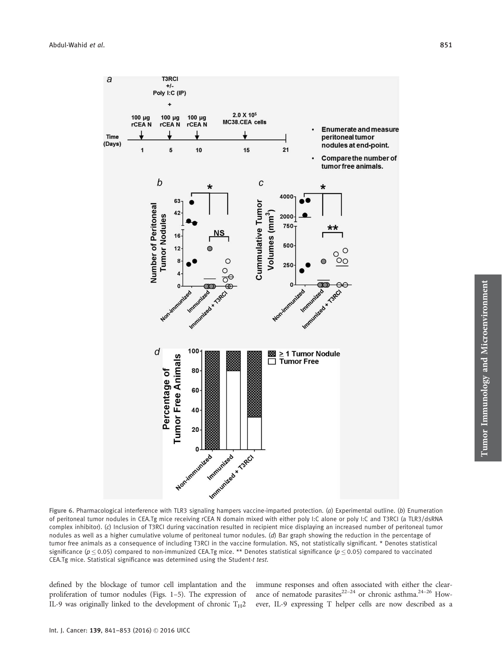

Figure 6. Pharmacological interference with TLR3 signaling hampers vaccine-imparted protection. (a) Experimental outline. (b) Enumeration of peritoneal tumor nodules in CEA.Tg mice receiving rCEA N domain mixed with either poly I:C alone or poly I:C and T3RCI (a TLR3/dsRNA complex inhibitor). (c) Inclusion of T3RCI during vaccination resulted in recipient mice displaying an increased number of peritoneal tumor nodules as well as a higher cumulative volume of peritoneal tumor nodules. (d) Bar graph showing the reduction in the percentage of tumor free animals as a consequence of including T3RCI in the vaccine formulation. NS, not statistically significant. \* Denotes statistical significance ( $p \le 0.05$ ) compared to non-immunized CEA.Tg mice. \*\* Denotes statistical significance ( $p \le 0.05$ ) compared to vaccinated CEA.Tg mice. Statistical significance was determined using the Student-t test.

defined by the blockage of tumor cell implantation and the proliferation of tumor nodules (Figs. 1–5). The expression of IL-9 was originally linked to the development of chronic  $T_H2$  immune responses and often associated with either the clearance of nematode parasites<sup>22–24</sup> or chronic asthma.<sup>24–26</sup> However, IL-9 expressing T helper cells are now described as a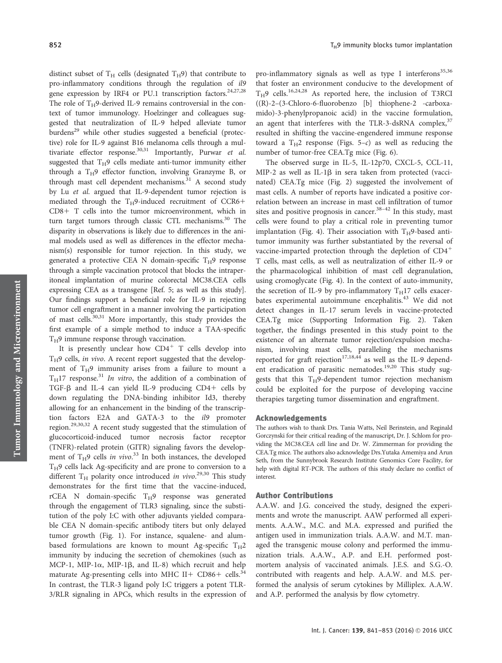distinct subset of  $T_H$  cells (designated  $T_H$ 9) that contribute to pro-inflammatory conditions through the regulation of il9 gene expression by IRF4 or PU.1 transcription factors.<sup>24,27,28</sup> The role of  $T_H$ 9-derived IL-9 remains controversial in the context of tumor immunology. Hoelzinger and colleagues suggested that neutralization of IL-9 helped alleviate tumor burdens<sup>29</sup> while other studies suggested a beneficial (protective) role for IL-9 against B16 melanoma cells through a multivariate effector response.<sup>30,31</sup> Importantly, Purwar et al. suggested that  $T_H$ 9 cells mediate anti-tumor immunity either through a  $T_H$ 9 effector function, involving Granzyme B, or through mast cell dependent mechanisms. $31$  A second study by Lu et al. argued that IL-9-dependent tumor rejection is mediated through the  $T_H$ 9-induced recruitment of CCR6+ CD8+ T cells into the tumor microenvironment, which in turn target tumors through classic CTL mechanisms.<sup>30</sup> The disparity in observations is likely due to differences in the animal models used as well as differences in the effector mechanism(s) responsible for tumor rejection. In this study, we generated a protective CEA N domain-specific  $T_H$ 9 response through a simple vaccination protocol that blocks the intraperitoneal implantation of murine colorectal MC38.CEA cells expressing CEA as a transgene [Ref. 5; as well as this study]. Our findings support a beneficial role for IL-9 in rejecting tumor cell engraftment in a manner involving the participation of mast cells.30,31 More importantly, this study provides the first example of a simple method to induce a TAA-specific  $T_H$ 9 immune response through vaccination.

It is presently unclear how  $CD4^+$  T cells develop into  $T_H$ 9 cells, in vivo. A recent report suggested that the development of  $T_H$ 9 immunity arises from a failure to mount a  $T_H$ 17 response.<sup>31</sup> In vitro, the addition of a combination of TGF- $\beta$  and IL-4 can yield IL-9 producing CD4+ cells by down regulating the DNA-binding inhibitor Id3, thereby allowing for an enhancement in the binding of the transcription factors E2A and GATA-3 to the il9 promoter region.29,30,32 A recent study suggested that the stimulation of glucocorticoid-induced tumor necrosis factor receptor (TNFR)-related protein (GITR) signaling favors the development of  $T_H$ 9 cells in vivo.<sup>33</sup> In both instances, the developed  $T_H$ 9 cells lack Ag-specificity and are prone to conversion to a different T<sub>H</sub> polarity once introduced in vivo.<sup>29,30</sup> This study demonstrates for the first time that the vaccine-induced, rCEA N domain-specific  $T_H$ 9 response was generated through the engagement of TLR3 signaling, since the substitution of the poly I:C with other adjuvants yielded comparable CEA N domain-specific antibody titers but only delayed tumor growth (Fig. 1). For instance, squalene- and alumbased formulations are known to mount Ag-specific  $T_H$ 2 immunity by inducing the secretion of chemokines (such as MCP-1, MIP-1 $\alpha$ , MIP-1 $\beta$ , and IL-8) which recruit and help maturate Ag-presenting cells into MHC II+ CD86+ cells.<sup>34</sup> In contrast, the TLR-3 ligand poly I:C triggers a potent TLR-3/RLR signaling in APCs, which results in the expression of pro-inflammatory signals as well as type I interferons<sup>35,36</sup> that foster an environment conducive to the development of  $T_H$ 9 cells.<sup>16,24,28</sup> As reported here, the inclusion of T3RCI ((R)-2–(3-Chloro-6-fluorobenzo [b] thiophene-2 -carboxamido)-3-phenylpropanoic acid) in the vaccine formulation, an agent that interferes with the TLR-3-dsRNA complex, $37$ resulted in shifting the vaccine-engendered immune response toward a  $T_H2$  response (Figs. 5-c) as well as reducing the number of tumor-free CEA.Tg mice (Fig. 6).

The observed surge in IL-5, IL-12p70, CXCL-5, CCL-11, MIP-2 as well as IL-1 $\beta$  in sera taken from protected (vaccinated) CEA.Tg mice (Fig. 2) suggested the involvement of mast cells. A number of reports have indicated a positive correlation between an increase in mast cell infiltration of tumor sites and positive prognosis in cancer.<sup>38-42</sup> In this study, mast cells were found to play a critical role in preventing tumor implantation (Fig. 4). Their association with  $T_H$ 9-based antitumor immunity was further substantiated by the reversal of vaccine-imparted protection through the depletion of  $CD4^+$ T cells, mast cells, as well as neutralization of either IL-9 or the pharmacological inhibition of mast cell degranulation, using cromoglycate (Fig. 4). In the context of auto-immunity, the secretion of IL-9 by pro-inflammatory  $T_H$ 17 cells exacerbates experimental autoimmune encephalitis.<sup>43</sup> We did not detect changes in IL-17 serum levels in vaccine-protected CEA.Tg mice (Supporting Information Fig. 2). Taken together, the findings presented in this study point to the existence of an alternate tumor rejection/expulsion mechanism, involving mast cells, paralleling the mechanisms reported for graft rejection<sup>17,18,44</sup> as well as the IL-9 dependent eradication of parasitic nematodes.<sup>19,20</sup> This study suggests that this  $T_H$ 9-dependent tumor rejection mechanism could be exploited for the purpose of developing vaccine therapies targeting tumor dissemination and engraftment.

#### Acknowledgements

The authors wish to thank Drs. Tania Watts, Neil Berinstein, and Reginald Gorczynski for their critical reading of the manuscript, Dr. J. Schlom for providing the MC38.CEA cell line and Dr. W. Zimmerman for providing the CEA.Tg mice. The authors also acknowledge Drs.Yutaka Amemiya and Arun Seth, from the Sunnybrook Research Institute Genomics Core Facility, for help with digital RT-PCR. The authors of this study declare no conflict of interest.

## Author Contributions

A.A.W. and J.G. conceived the study, designed the experiments and wrote the manuscript. AAW performed all experiments. A.A.W., M.C. and M.A. expressed and purified the antigen used in immunization trials. A.A.W. and M.T. managed the transgenic mouse colony and performed the immunization trials. A.A.W., A.P. and E.H. performed postmortem analysis of vaccinated animals. J.E.S. and S.G.-O. contributed with reagents and help. A.A.W. and M.S. performed the analysis of serum cytokines by Milliplex. A.A.W. and A.P. performed the analysis by flow cytometry.

Tumor Immunology and Microenvironment

Tumor Immunology and Microenvironment